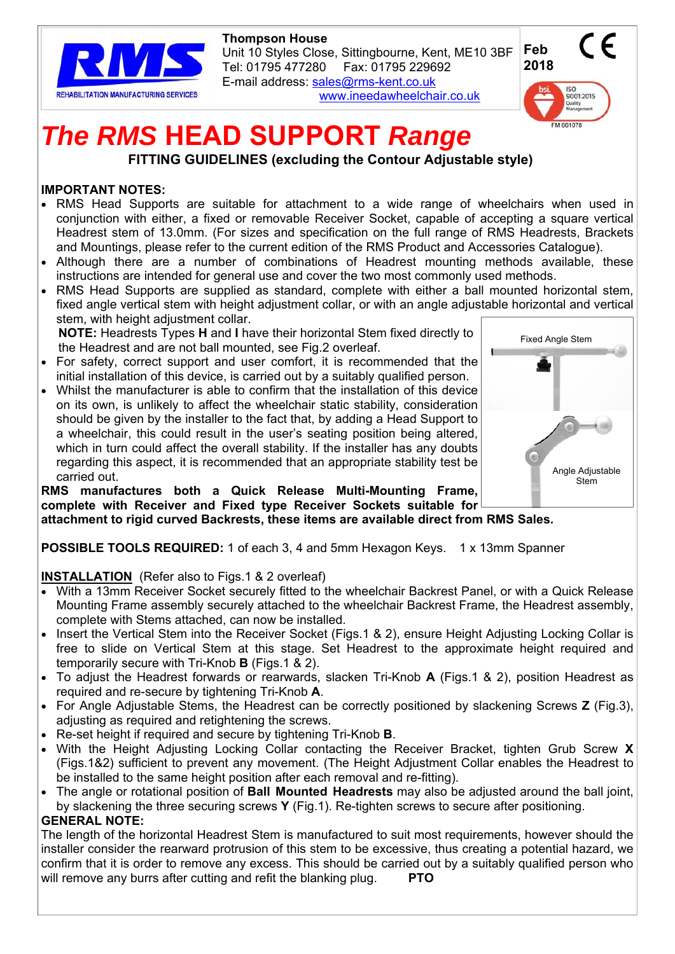

 **Thompson House**  Unit 10 Styles Close, Sittingbourne, Kent, ME10 3BF Tel: 01795 477280 Fax: 01795 229692 E-mail address: sales@rms-kent.co.uk www.ineedawheelchair.co.uk



# *The RMS* **HEAD SUPPORT** *Range***<br>FITTING GUIDELINES (excluding the Contour Adjustable style)**

## **IMPORTANT NOTES:**

- RMS Head Supports are suitable for attachment to a wide range of wheelchairs when used in conjunction with either, a fixed or removable Receiver Socket, capable of accepting a square vertical Headrest stem of 13.0mm. (For sizes and specification on the full range of RMS Headrests, Brackets and Mountings, please refer to the current edition of the RMS Product and Accessories Catalogue).
- Although there are a number of combinations of Headrest mounting methods available, these instructions are intended for general use and cover the two most commonly used methods.
- RMS Head Supports are supplied as standard, complete with either a ball mounted horizontal stem, fixed angle vertical stem with height adjustment collar, or with an angle adjustable horizontal and vertical stem, with height adjustment collar.

**NOTE:** Headrests Types **H** and **I** have their horizontal Stem fixed directly to the Headrest and are not ball mounted, see Fig.2 overleaf.

- For safety, correct support and user comfort, it is recommended that the initial installation of this device, is carried out by a suitably qualified person.
- Whilst the manufacturer is able to confirm that the installation of this device on its own, is unlikely to affect the wheelchair static stability, consideration should be given by the installer to the fact that, by adding a Head Support to a wheelchair, this could result in the user's seating position being altered, which in turn could affect the overall stability. If the installer has any doubts regarding this aspect, it is recommended that an appropriate stability test be carried out.

**RMS manufactures both a Quick Release Multi-Mounting Frame, complete with Receiver and Fixed type Receiver Sockets suitable for attachment to rigid curved Backrests, these items are available direct from RMS Sales.** 



**POSSIBLE TOOLS REQUIRED:** 1 of each 3, 4 and 5mm Hexagon Keys. 1 x 13mm Spanner

## **INSTALLATION** (Refer also to Figs.1 & 2 overleaf)

- With a 13mm Receiver Socket securely fitted to the wheelchair Backrest Panel, or with a Quick Release Mounting Frame assembly securely attached to the wheelchair Backrest Frame, the Headrest assembly, complete with Stems attached, can now be installed.
- Insert the Vertical Stem into the Receiver Socket (Figs.1 & 2), ensure Height Adjusting Locking Collar is free to slide on Vertical Stem at this stage. Set Headrest to the approximate height required and temporarily secure with Tri-Knob **B** (Figs.1 & 2).
- To adjust the Headrest forwards or rearwards, slacken Tri-Knob **A** (Figs.1 & 2), position Headrest as required and re-secure by tightening Tri-Knob **A**.
- For Angle Adjustable Stems, the Headrest can be correctly positioned by slackening Screws **Z** (Fig.3), adjusting as required and retightening the screws.
- Re-set height if required and secure by tightening Tri-Knob **B**.
- With the Height Adjusting Locking Collar contacting the Receiver Bracket, tighten Grub Screw **X** (Figs.1&2) sufficient to prevent any movement. (The Height Adjustment Collar enables the Headrest to be installed to the same height position after each removal and re-fitting).
- The angle or rotational position of **Ball Mounted Headrests** may also be adjusted around the ball joint, by slackening the three securing screws **Y** (Fig.1). Re-tighten screws to secure after positioning.

## **GENERAL NOTE:**

The length of the horizontal Headrest Stem is manufactured to suit most requirements, however should the installer consider the rearward protrusion of this stem to be excessive, thus creating a potential hazard, we confirm that it is order to remove any excess. This should be carried out by a suitably qualified person who will remove any burrs after cutting and refit the blanking plug. **PTO**